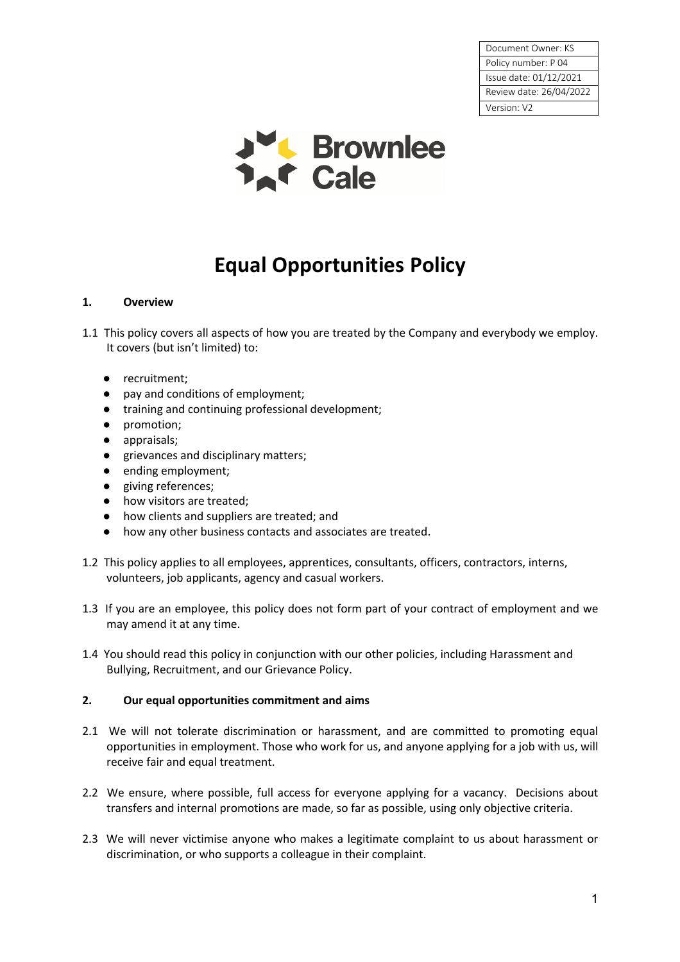Document Owner: KS Policy number: P 04 Issue date: 01/12/2021 Review date: 26/04/2022 Version: V2



# **Equal Opportunities Policy**

## **1. Overview**

- 1.1 This policy covers all aspects of how you are treated by the Company and everybody we employ. It covers (but isn't limited) to:
	- recruitment;
	- pay and conditions of employment;
	- training and continuing professional development;
	- promotion;
	- appraisals;
	- grievances and disciplinary matters;
	- ending employment;
	- giving references;
	- how visitors are treated;
	- how clients and suppliers are treated; and
	- how any other business contacts and associates are treated.
- 1.2 This policy applies to all employees, apprentices, consultants, officers, contractors, interns, volunteers, job applicants, agency and casual workers.
- 1.3 If you are an employee, this policy does not form part of your contract of employment and we may amend it at any time.
- 1.4 You should read this policy in conjunction with our other policies, including Harassment and Bullying, Recruitment, and our Grievance Policy.

#### **2. Our equal opportunities commitment and aims**

- 2.1 We will not tolerate discrimination or harassment, and are committed to promoting equal opportunities in employment. Those who work for us, and anyone applying for a job with us, will receive fair and equal treatment.
- 2.2 We ensure, where possible, full access for everyone applying for a vacancy. Decisions about transfers and internal promotions are made, so far as possible, using only objective criteria.
- 2.3 We will never victimise anyone who makes a legitimate complaint to us about harassment or discrimination, or who supports a colleague in their complaint.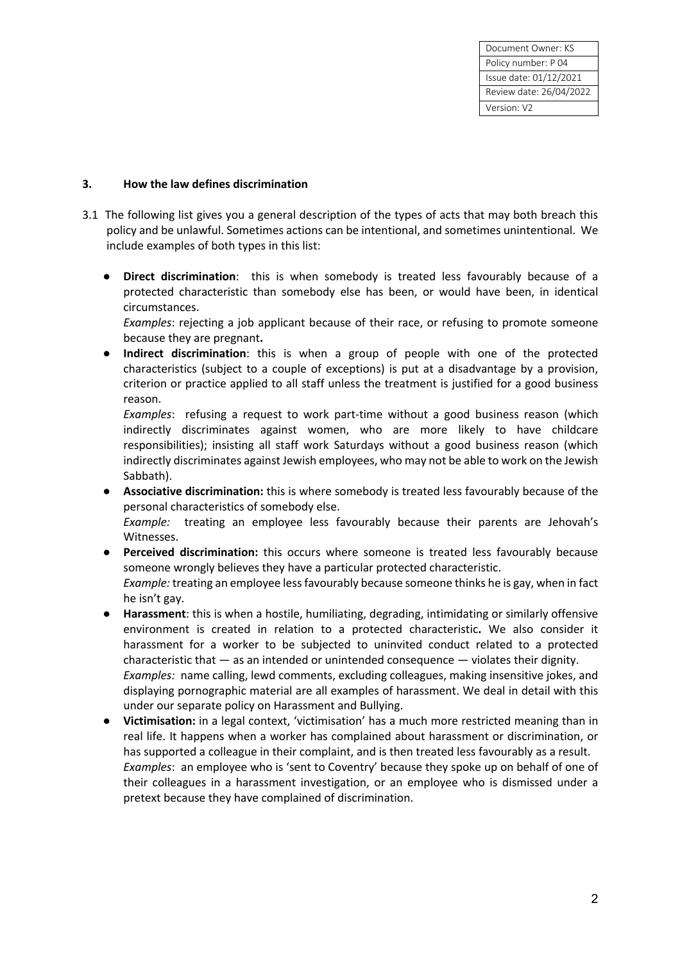Document Owner: KS Policy number: P 04 Issue date: 01/12/2021 Review date: 26/04/2022 Version: V2

### **3. How the law defines discrimination**

- 3.1 The following list gives you a general description of the types of acts that may both breach this policy and be unlawful. Sometimes actions can be intentional, and sometimes unintentional. We include examples of both types in this list:
	- **Direct discrimination**: this is when somebody is treated less favourably because of a protected characteristic than somebody else has been, or would have been, in identical circumstances.

*Examples*: rejecting a job applicant because of their race, or refusing to promote someone because they are pregnant**.**

● **Indirect discrimination**: this is when a group of people with one of the protected characteristics (subject to a couple of exceptions) is put at a disadvantage by a provision, criterion or practice applied to all staff unless the treatment is justified for a good business reason.

*Examples*: refusing a request to work part-time without a good business reason (which indirectly discriminates against women, who are more likely to have childcare responsibilities); insisting all staff work Saturdays without a good business reason (which indirectly discriminates against Jewish employees, who may not be able to work on the Jewish Sabbath).

● **Associative discrimination:** this is where somebody is treated less favourably because of the personal characteristics of somebody else.

*Example:* treating an employee less favourably because their parents are Jehovah's Witnesses.

- Perceived discrimination: this occurs where someone is treated less favourably because someone wrongly believes they have a particular protected characteristic. *Example:* treating an employee less favourably because someone thinks he is gay, when in fact he isn't gay.
- **Harassment**: this is when a hostile, humiliating, degrading, intimidating or similarly offensive environment is created in relation to a protected characteristic**.** We also consider it harassment for a worker to be subjected to uninvited conduct related to a protected characteristic that  $-$  as an intended or unintended consequence  $-$  violates their dignity. *Examples:* name calling, lewd comments, excluding colleagues, making insensitive jokes, and displaying pornographic material are all examples of harassment. We deal in detail with this under our separate policy on Harassment and Bullying.
- **Victimisation:** in a legal context, 'victimisation' has a much more restricted meaning than in real life. It happens when a worker has complained about harassment or discrimination, or has supported a colleague in their complaint, and is then treated less favourably as a result. *Examples*: an employee who is 'sent to Coventry' because they spoke up on behalf of one of their colleagues in a harassment investigation, or an employee who is dismissed under a pretext because they have complained of discrimination.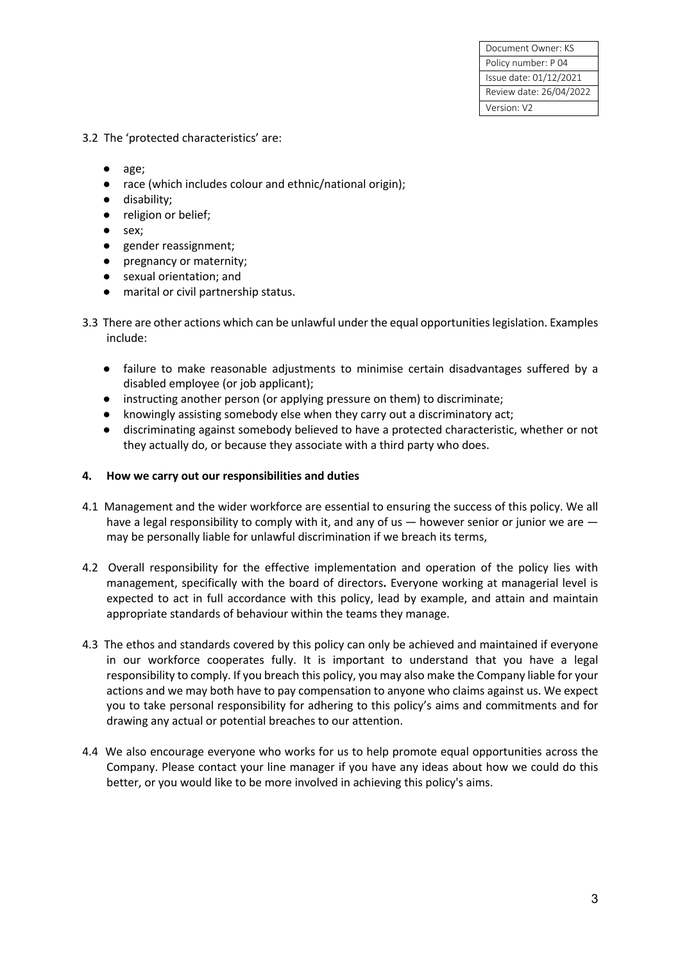- 3.2 The 'protected characteristics' are:
	- age;
	- race (which includes colour and ethnic/national origin);
	- disability;
	- religion or belief;
	- sex;
	- gender reassignment;
	- pregnancy or maternity;
	- sexual orientation; and
	- marital or civil partnership status.
- 3.3 There are other actions which can be unlawful under the equal opportunities legislation. Examples include:
	- failure to make reasonable adjustments to minimise certain disadvantages suffered by a disabled employee (or job applicant);
	- instructing another person (or applying pressure on them) to discriminate;
	- knowingly assisting somebody else when they carry out a discriminatory act;
	- discriminating against somebody believed to have a protected characteristic, whether or not they actually do, or because they associate with a third party who does.

#### **4. How we carry out our responsibilities and duties**

- 4.1 Management and the wider workforce are essential to ensuring the success of this policy. We all have a legal responsibility to comply with it, and any of us  $-$  however senior or junior we are  $$ may be personally liable for unlawful discrimination if we breach its terms,
- 4.2 Overall responsibility for the effective implementation and operation of the policy lies with management, specifically with the board of directors**.** Everyone working at managerial level is expected to act in full accordance with this policy, lead by example, and attain and maintain appropriate standards of behaviour within the teams they manage.
- 4.3 The ethos and standards covered by this policy can only be achieved and maintained if everyone in our workforce cooperates fully. It is important to understand that you have a legal responsibility to comply. If you breach this policy, you may also make the Company liable for your actions and we may both have to pay compensation to anyone who claims against us. We expect you to take personal responsibility for adhering to this policy's aims and commitments and for drawing any actual or potential breaches to our attention.
- 4.4 We also encourage everyone who works for us to help promote equal opportunities across the Company. Please contact your line manager if you have any ideas about how we could do this better, or you would like to be more involved in achieving this policy's aims.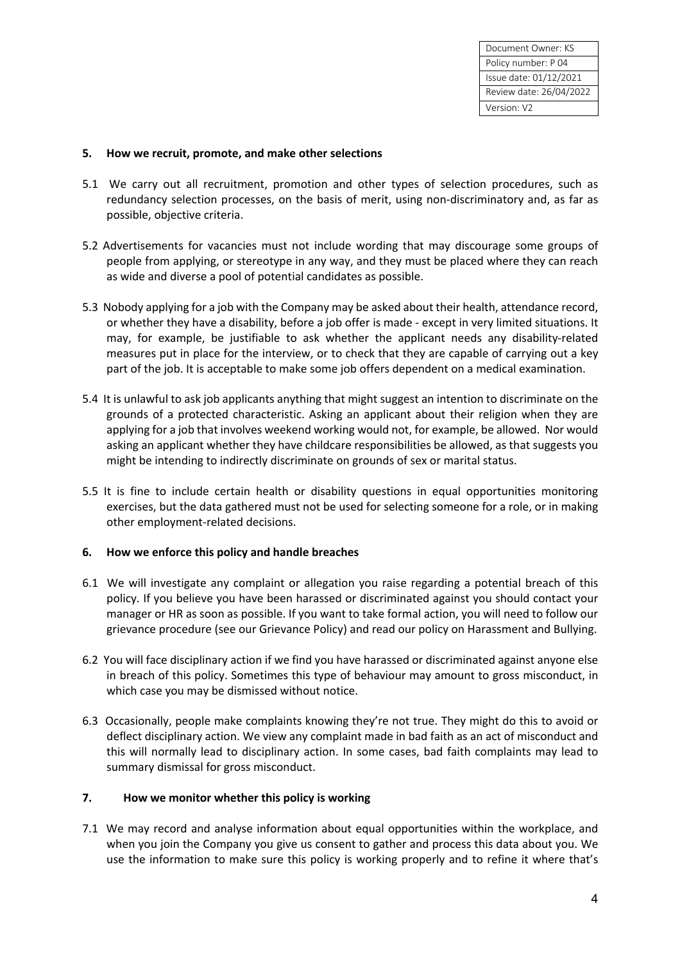#### **5. How we recruit, promote, and make other selections**

- 5.1 We carry out all recruitment, promotion and other types of selection procedures, such as redundancy selection processes, on the basis of merit, using non-discriminatory and, as far as possible, objective criteria.
- 5.2 Advertisements for vacancies must not include wording that may discourage some groups of people from applying, or stereotype in any way, and they must be placed where they can reach as wide and diverse a pool of potential candidates as possible.
- 5.3 Nobody applying for a job with the Company may be asked about their health, attendance record, or whether they have a disability, before a job offer is made - except in very limited situations. It may, for example, be justifiable to ask whether the applicant needs any disability-related measures put in place for the interview, or to check that they are capable of carrying out a key part of the job. It is acceptable to make some job offers dependent on a medical examination.
- 5.4 It is unlawful to ask job applicants anything that might suggest an intention to discriminate on the grounds of a protected characteristic. Asking an applicant about their religion when they are applying for a job that involves weekend working would not, for example, be allowed. Nor would asking an applicant whether they have childcare responsibilities be allowed, as that suggests you might be intending to indirectly discriminate on grounds of sex or marital status.
- 5.5 It is fine to include certain health or disability questions in equal opportunities monitoring exercises, but the data gathered must not be used for selecting someone for a role, or in making other employment-related decisions.

#### **6. How we enforce this policy and handle breaches**

- 6.1 We will investigate any complaint or allegation you raise regarding a potential breach of this policy. If you believe you have been harassed or discriminated against you should contact your manager or HR as soon as possible. If you want to take formal action, you will need to follow our grievance procedure (see our Grievance Policy) and read our policy on Harassment and Bullying.
- 6.2 You will face disciplinary action if we find you have harassed or discriminated against anyone else in breach of this policy. Sometimes this type of behaviour may amount to gross misconduct, in which case you may be dismissed without notice.
- 6.3 Occasionally, people make complaints knowing they're not true. They might do this to avoid or deflect disciplinary action. We view any complaint made in bad faith as an act of misconduct and this will normally lead to disciplinary action. In some cases, bad faith complaints may lead to summary dismissal for gross misconduct.

#### **7. How we monitor whether this policy is working**

7.1 We may record and analyse information about equal opportunities within the workplace, and when you join the Company you give us consent to gather and process this data about you. We use the information to make sure this policy is working properly and to refine it where that's